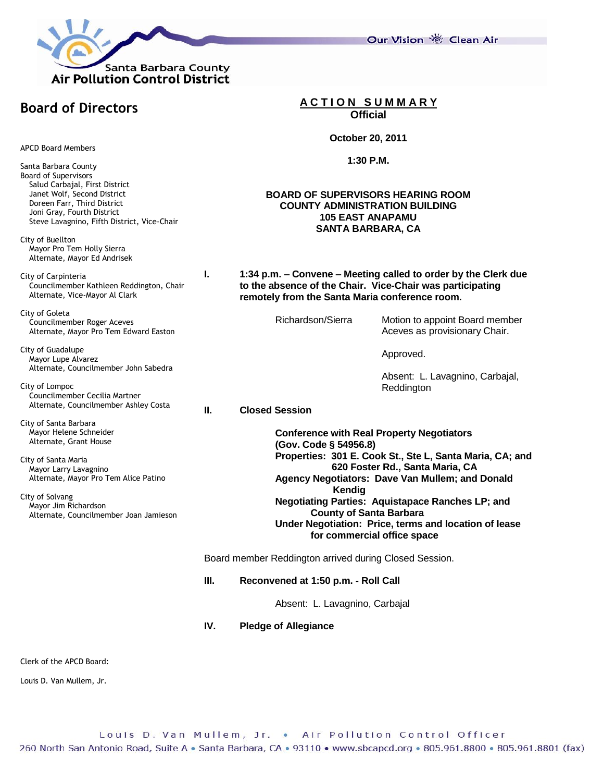

**Board of Directors**

APCD Board Members

Santa Barbara County Board of Supervisors Salud Carbajal, First District Janet Wolf, Second District Doreen Farr, Third District Joni Gray, Fourth District Steve Lavagnino, Fifth District, Vice-Chair

City of Buellton Mayor Pro Tem Holly Sierra Alternate, Mayor Ed Andrisek

City of Carpinteria Councilmember Kathleen Reddington, Chair Alternate, Vice-Mayor Al Clark

City of Goleta Councilmember Roger Aceves Alternate, Mayor Pro Tem Edward Easton

City of Guadalupe Mayor Lupe Alvarez Alternate, Councilmember John Sabedra

City of Lompoc Councilmember Cecilia Martner Alternate, Councilmember Ashley Costa

City of Santa Barbara Mayor Helene Schneider Alternate, Grant House

City of Santa Maria Mayor Larry Lavagnino Alternate, Mayor Pro Tem Alice Patino

City of Solvang Mayor Jim Richardson Alternate, Councilmember Joan Jamieson **A C T I O N S U M M A R Y Official**

**October 20, 2011**

**1:30 P.M.**

## **BOARD OF SUPERVISORS HEARING ROOM COUNTY ADMINISTRATION BUILDING 105 EAST ANAPAMU SANTA BARBARA, CA**

**I. 1:34 p.m. – Convene – Meeting called to order by the Clerk due to the absence of the Chair. Vice-Chair was participating remotely from the Santa Maria conference room.**

Richardson/Sierra Motion to appoint Board member Aceves as provisionary Chair.

Approved.

Absent: L. Lavagnino, Carbajal, Reddington

**II. Closed Session**

**Conference with Real Property Negotiators (Gov. Code § 54956.8) Properties: 301 E. Cook St., Ste L, Santa Maria, CA; and 620 Foster Rd., Santa Maria, CA Agency Negotiators: Dave Van Mullem; and Donald Kendig Negotiating Parties: Aquistapace Ranches LP; and County of Santa Barbara Under Negotiation: Price, terms and location of lease for commercial office space**

Board member Reddington arrived during Closed Session.

**III. Reconvened at 1:50 p.m. - Roll Call**

Absent: L. Lavagnino, Carbajal

**IV. Pledge of Allegiance**

Clerk of the APCD Board:

Louis D. Van Mullem, Jr.

Our Vision 卷 Clean Air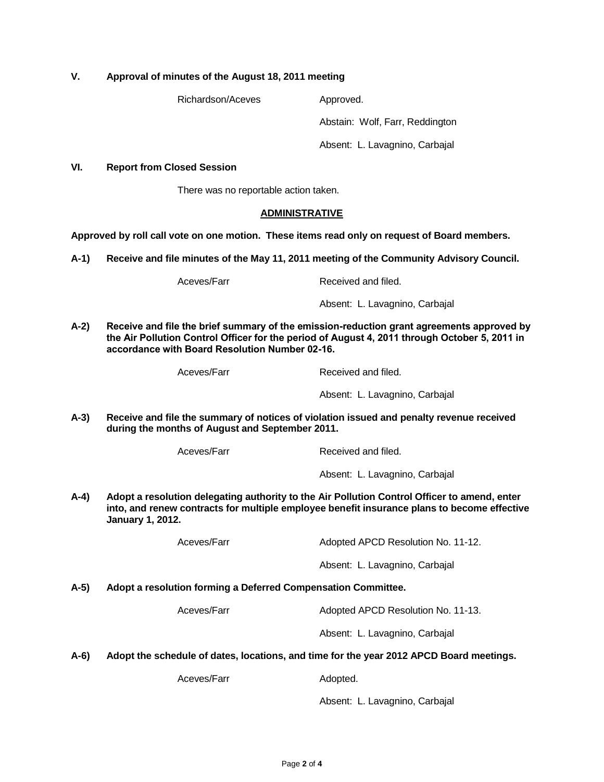# **V. Approval of minutes of the August 18, 2011 meeting**

Richardson/Aceves Approved.

Abstain: Wolf, Farr, Reddington

Absent: L. Lavagnino, Carbajal

## **VI. Report from Closed Session**

There was no reportable action taken.

### **ADMINISTRATIVE**

**Approved by roll call vote on one motion. These items read only on request of Board members.**

**A-1) Receive and file minutes of the May 11, 2011 meeting of the Community Advisory Council.**

Aceves/Farr Received and filed.

Absent: L. Lavagnino, Carbajal

**A-2) Receive and file the brief summary of the emission-reduction grant agreements approved by the Air Pollution Control Officer for the period of August 4, 2011 through October 5, 2011 in accordance with Board Resolution Number 02-16.**

| Aceves/Farr |
|-------------|
|-------------|

Received and filed.

Absent: L. Lavagnino, Carbajal

**A-3) Receive and file the summary of notices of violation issued and penalty revenue received during the months of August and September 2011.**

Aceves/Farr Received and filed.

Absent: L. Lavagnino, Carbajal

**A-4) Adopt a resolution delegating authority to the Air Pollution Control Officer to amend, enter into, and renew contracts for multiple employee benefit insurance plans to become effective January 1, 2012.**

Aceves/Farr Adopted APCD Resolution No. 11-12.

Absent: L. Lavagnino, Carbajal

#### **A-5) Adopt a resolution forming a Deferred Compensation Committee.**

Aceves/Farr Adopted APCD Resolution No. 11-13.

Absent: L. Lavagnino, Carbajal

## **A-6) Adopt the schedule of dates, locations, and time for the year 2012 APCD Board meetings.**

Aceves/Farr Adopted.

Absent: L. Lavagnino, Carbajal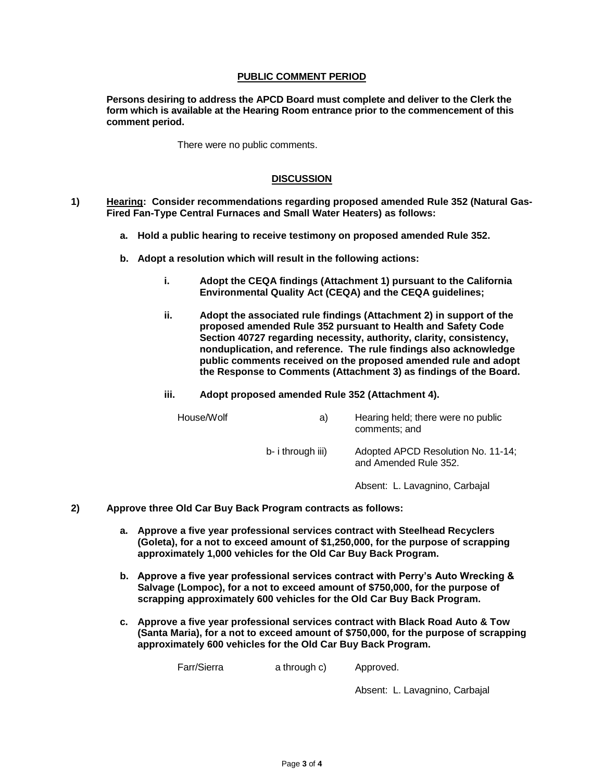## **PUBLIC COMMENT PERIOD**

**Persons desiring to address the APCD Board must complete and deliver to the Clerk the form which is available at the Hearing Room entrance prior to the commencement of this comment period.** 

There were no public comments.

## **DISCUSSION**

- **1) Hearing: Consider recommendations regarding proposed amended Rule 352 (Natural Gas-Fired Fan-Type Central Furnaces and Small Water Heaters) as follows:** 
	- **a. Hold a public hearing to receive testimony on proposed amended Rule 352.**
	- **b. Adopt a resolution which will result in the following actions:**
		- **i. Adopt the CEQA findings (Attachment 1) pursuant to the California Environmental Quality Act (CEQA) and the CEQA guidelines;**
		- **ii. Adopt the associated rule findings (Attachment 2) in support of the proposed amended Rule 352 pursuant to Health and Safety Code Section 40727 regarding necessity, authority, clarity, consistency, nonduplication, and reference. The rule findings also acknowledge public comments received on the proposed amended rule and adopt the Response to Comments (Attachment 3) as findings of the Board.**

#### **iii. Adopt proposed amended Rule 352 (Attachment 4).**

| House/Wolf | a)                | Hearing held; there were no public<br>comments; and         |
|------------|-------------------|-------------------------------------------------------------|
|            | b- i through iii) | Adopted APCD Resolution No. 11-14;<br>and Amended Rule 352. |

Absent: L. Lavagnino, Carbajal

- **2) Approve three Old Car Buy Back Program contracts as follows:**
	- **a. Approve a five year professional services contract with Steelhead Recyclers (Goleta), for a not to exceed amount of \$1,250,000, for the purpose of scrapping approximately 1,000 vehicles for the Old Car Buy Back Program.**
	- **b. Approve a five year professional services contract with Perry's Auto Wrecking & Salvage (Lompoc), for a not to exceed amount of \$750,000, for the purpose of scrapping approximately 600 vehicles for the Old Car Buy Back Program.**
	- **c. Approve a five year professional services contract with Black Road Auto & Tow (Santa Maria), for a not to exceed amount of \$750,000, for the purpose of scrapping approximately 600 vehicles for the Old Car Buy Back Program.**

Farr/Sierra a through c) Approved.

Absent: L. Lavagnino, Carbajal